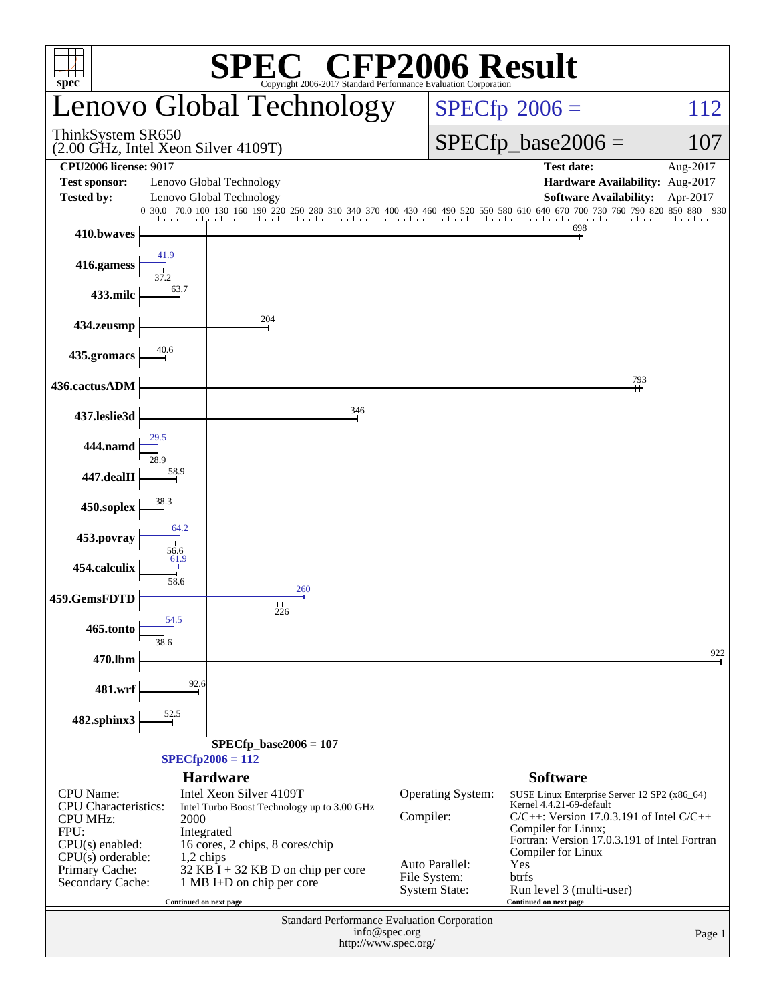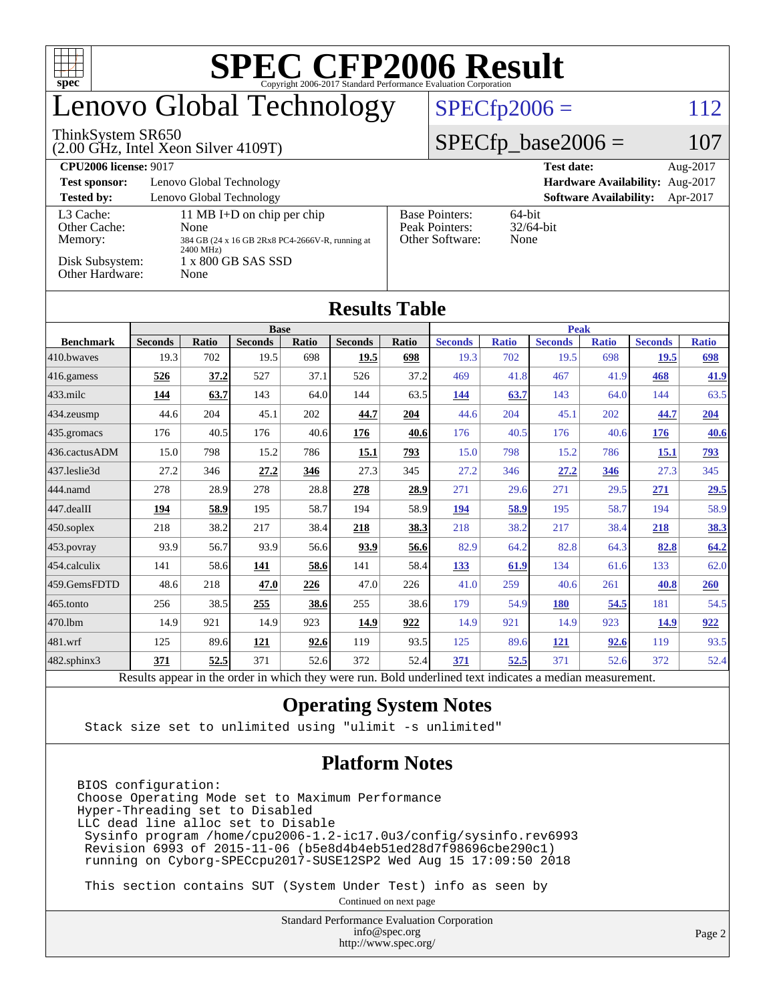| <b>SPEC CFP2006 Result</b><br>┱┪<br><b>TYT</b><br>$spec^*$<br>Copyright 2006-2017 Standard Performance Evaluation Corporation |                                                 |              |                            |             |                |                         |                                                                |                      |                |              |                |              |
|-------------------------------------------------------------------------------------------------------------------------------|-------------------------------------------------|--------------|----------------------------|-------------|----------------|-------------------------|----------------------------------------------------------------|----------------------|----------------|--------------|----------------|--------------|
| Lenovo Global Technology                                                                                                      |                                                 |              |                            |             |                | $SPECfp2006 =$          |                                                                |                      |                | 112          |                |              |
| ThinkSystem SR650<br>(2.00 GHz, Intel Xeon Silver 4109T)                                                                      |                                                 |              |                            |             |                |                         |                                                                | $SPECfp\_base2006 =$ |                |              | 107            |              |
| <b>CPU2006</b> license: 9017<br><b>Test date:</b>                                                                             |                                                 |              |                            |             |                |                         |                                                                | Aug-2017             |                |              |                |              |
| Lenovo Global Technology<br>Hardware Availability: Aug-2017<br><b>Test sponsor:</b>                                           |                                                 |              |                            |             |                |                         |                                                                |                      |                |              |                |              |
| <b>Tested by:</b><br>Lenovo Global Technology<br><b>Software Availability:</b><br>Apr-2017                                    |                                                 |              |                            |             |                |                         |                                                                |                      |                |              |                |              |
| L3 Cache:<br>Other Cache:                                                                                                     |                                                 | None         | 11 MB I+D on chip per chip |             |                |                         | 64-bit<br><b>Base Pointers:</b><br>Peak Pointers:<br>32/64-bit |                      |                |              |                |              |
| Memory:                                                                                                                       | 384 GB (24 x 16 GB 2Rx8 PC4-2666V-R, running at |              |                            |             |                | Other Software:<br>None |                                                                |                      |                |              |                |              |
| 2400 MHz)<br>Disk Subsystem:<br>1 x 800 GB SAS SSD                                                                            |                                                 |              |                            |             |                |                         |                                                                |                      |                |              |                |              |
| Other Hardware:<br>None                                                                                                       |                                                 |              |                            |             |                |                         |                                                                |                      |                |              |                |              |
| <b>Results Table</b>                                                                                                          |                                                 |              |                            |             |                |                         |                                                                |                      |                |              |                |              |
|                                                                                                                               |                                                 |              | <b>Base</b>                |             |                |                         |                                                                |                      | <b>Peak</b>    |              |                |              |
| <b>Benchmark</b>                                                                                                              | <b>Seconds</b>                                  | <b>Ratio</b> | <b>Seconds</b>             | Ratio       | <b>Seconds</b> | Ratio                   | <b>Seconds</b>                                                 | <b>Ratio</b>         | <b>Seconds</b> | <b>Ratio</b> | <b>Seconds</b> | <b>Ratio</b> |
| 410.bwayes                                                                                                                    | 19.3<br>526                                     | 702<br>37.2  | 19.5<br>527                | 698<br>37.1 | 19.5<br>526    | 698<br>37.2             | 19.3<br>469                                                    | 702<br>41.8          | 19.5<br>467    | 698<br>41.9  | 19.5<br>468    | 698<br>41.9  |
| 416.gamess<br>$433$ .milc                                                                                                     | 144                                             | 63.7         | 143                        | 64.0        | 144            | 63.5                    | 144                                                            | 63.7                 | 143            | 64.0         | 144            | 63.5         |
|                                                                                                                               | 44.6                                            | 204          | 45.1                       | 202         | 44.7           | 204                     | 44.6                                                           | 204                  | 45.1           | 202          | 44.7           | 204          |
| 434.zeusmp                                                                                                                    | 176                                             | 40.5         | 176                        | 40.6        |                |                         | 176                                                            | 40.5                 | 176            | 40.6         |                | 40.6         |
| 435.gromacs<br>436.cactusADM                                                                                                  | 15.0                                            | 798          | 15.2                       | 786         | 176<br>15.1    | 40.6<br>793             | 15.0                                                           | 798                  | 15.2           | 786          | 176<br>15.1    | 793          |
| 437.leslie3d                                                                                                                  | 27.2                                            | 346          | 27.2                       | 346         | 27.3           | 345                     | 27.2                                                           | 346                  | 27.2           | 346          | 27.3           | 345          |
| 444.namd                                                                                                                      | 278                                             | 28.9         | 278                        | 28.8        | 278            | 28.9                    | 271                                                            | 29.6                 | 271            | 29.5         | 271            | 29.5         |
| 447.dealII                                                                                                                    | 194                                             | 58.9         | 195                        | 58.7        | 194            | 58.9                    | 194                                                            | 58.9                 | 195            | 58.7         | 194            | 58.9         |
| 450.soplex                                                                                                                    | 218                                             | 38.2         | 217                        | 38.4        | 218            | 38.3                    | 218                                                            | 38.2                 | 217            | 38.4         | 218            | 38.3         |
| 453.povray                                                                                                                    | 93.9                                            | 56.7         | 93.9                       | 56.6        | 93.9           | 56.6                    | 82.9                                                           | 64.2                 | 82.8           | 64.3         | 82.8           | 64.2         |
| 454.calculix                                                                                                                  | 141                                             | 58.6         | 141                        | 58.6        | 141            | 58.4                    | 133                                                            | 61.9                 | 134            | 61.6         | 133            | 62.0         |
| 459.GemsFDTD                                                                                                                  | 48.6                                            | 218          | 47.0                       | 226         | 47.0           | 226                     | 41.0                                                           | 259                  | 40.6           | 261          | 40.8           | 260          |
| 465.tonto                                                                                                                     | 256                                             | 38.5         | 255                        | 38.6        | 255            | 38.6                    | 179                                                            | 54.9                 | <b>180</b>     | 54.5         | 181            | 54.5         |
| 470.1bm                                                                                                                       | 14.9                                            | 921          | 14.9                       | 923         | 14.9           | 922                     | 14.9                                                           | 921                  | 14.9           | 923          | 14.9           | 922          |
| 481.wrf                                                                                                                       | 125                                             | 89.6         | 121                        | 92.6        | 119            | 93.5                    | 125                                                            | 89.6                 | 121            | 92.6         | 119            | 93.5         |
| 482.sphinx3                                                                                                                   | 371                                             | 52.5         | 371                        | 52.6        | 372            | 52.4                    | 371                                                            | 52.5                 | 371            | 52.6         | 372            | 52.4         |

Results appear in the [order in which they were run.](http://www.spec.org/auto/cpu2006/Docs/result-fields.html#RunOrder) Bold underlined text [indicates a median measurement.](http://www.spec.org/auto/cpu2006/Docs/result-fields.html#Median)

#### **[Operating System Notes](http://www.spec.org/auto/cpu2006/Docs/result-fields.html#OperatingSystemNotes)**

Stack size set to unlimited using "ulimit -s unlimited"

#### **[Platform Notes](http://www.spec.org/auto/cpu2006/Docs/result-fields.html#PlatformNotes)**

BIOS configuration: Choose Operating Mode set to Maximum Performance Hyper-Threading set to Disabled LLC dead line alloc set to Disable Sysinfo program /home/cpu2006-1.2-ic17.0u3/config/sysinfo.rev6993 Revision 6993 of 2015-11-06 (b5e8d4b4eb51ed28d7f98696cbe290c1) running on Cyborg-SPECcpu2017-SUSE12SP2 Wed Aug 15 17:09:50 2018

This section contains SUT (System Under Test) info as seen by

Continued on next page

Standard Performance Evaluation Corporation [info@spec.org](mailto:info@spec.org) <http://www.spec.org/>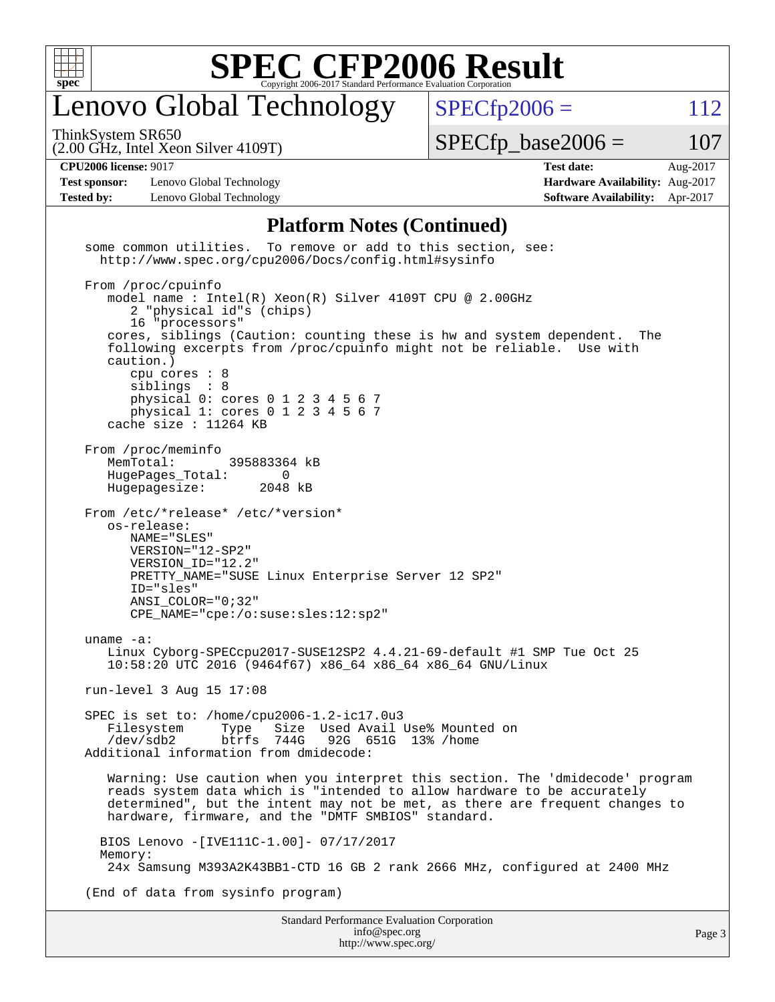

### enovo Global Technology

ThinkSystem SR650

 $SPECTp2006 = 112$ 

(2.00 GHz, Intel Xeon Silver 4109T)

 $SPECTp\_base2006 = 107$ 

**[CPU2006 license:](http://www.spec.org/auto/cpu2006/Docs/result-fields.html#CPU2006license)** 9017 **[Test date:](http://www.spec.org/auto/cpu2006/Docs/result-fields.html#Testdate)** Aug-2017

**[Test sponsor:](http://www.spec.org/auto/cpu2006/Docs/result-fields.html#Testsponsor)** Lenovo Global Technology **[Hardware Availability:](http://www.spec.org/auto/cpu2006/Docs/result-fields.html#HardwareAvailability)** Aug-2017 **[Tested by:](http://www.spec.org/auto/cpu2006/Docs/result-fields.html#Testedby)** Lenovo Global Technology **[Software Availability:](http://www.spec.org/auto/cpu2006/Docs/result-fields.html#SoftwareAvailability)** Apr-2017

#### **[Platform Notes \(Continued\)](http://www.spec.org/auto/cpu2006/Docs/result-fields.html#PlatformNotes)**

Standard Performance Evaluation Corporation some common utilities. To remove or add to this section, see: <http://www.spec.org/cpu2006/Docs/config.html#sysinfo> From /proc/cpuinfo model name : Intel(R) Xeon(R) Silver 4109T CPU @ 2.00GHz 2 "physical id"s (chips) 16 "processors" cores, siblings (Caution: counting these is hw and system dependent. The following excerpts from /proc/cpuinfo might not be reliable. Use with caution.) cpu cores : 8 siblings : 8 physical 0: cores 0 1 2 3 4 5 6 7 physical 1: cores  $0$  1 2 3 4 5 6 7 cache size : 11264 KB From /proc/meminfo MemTotal: 395883364 kB HugePages\_Total: 0<br>Hugepagesize: 2048 kB Hugepagesize: From /etc/\*release\* /etc/\*version\* os-release: NAME="SLES" VERSION="12-SP2" VERSION\_ID="12.2" PRETTY\_NAME="SUSE Linux Enterprise Server 12 SP2" ID="sles" ANSI\_COLOR="0;32" CPE\_NAME="cpe:/o:suse:sles:12:sp2" uname -a: Linux Cyborg-SPECcpu2017-SUSE12SP2 4.4.21-69-default #1 SMP Tue Oct 25 10:58:20 UTC 2016 (9464f67) x86\_64 x86\_64 x86\_64 GNU/Linux run-level 3 Aug 15 17:08 SPEC is set to: /home/cpu2006-1.2-ic17.0u3 Filesystem Type Size Used Avail Use% Mounted on /dev/sdb2 btrfs 744G 92G 651G 13% /home Additional information from dmidecode: Warning: Use caution when you interpret this section. The 'dmidecode' program reads system data which is "intended to allow hardware to be accurately determined", but the intent may not be met, as there are frequent changes to hardware, firmware, and the "DMTF SMBIOS" standard. BIOS Lenovo -[IVE111C-1.00]- 07/17/2017 Memory: 24x Samsung M393A2K43BB1-CTD 16 GB 2 rank 2666 MHz, configured at 2400 MHz (End of data from sysinfo program)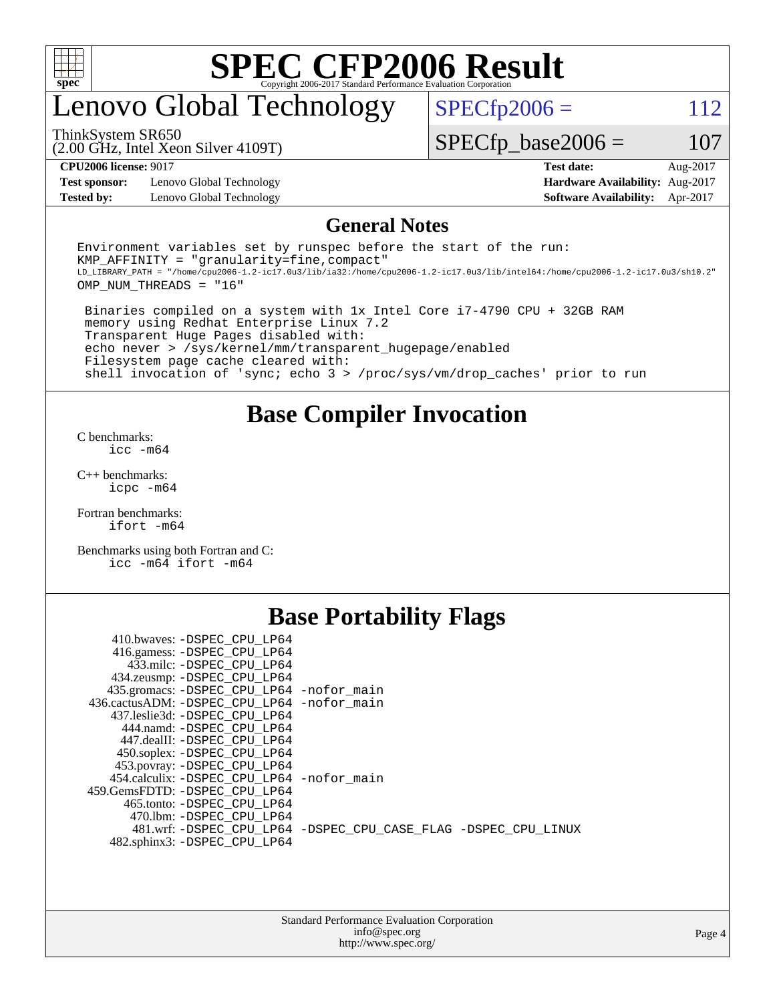

### enovo Global Technology

ThinkSystem SR650

 $SPECTp2006 = 112$ 

(2.00 GHz, Intel Xeon Silver 4109T)

 $SPECfp\_base2006 = 107$ 

**[Test sponsor:](http://www.spec.org/auto/cpu2006/Docs/result-fields.html#Testsponsor)** Lenovo Global Technology **[Hardware Availability:](http://www.spec.org/auto/cpu2006/Docs/result-fields.html#HardwareAvailability)** Aug-2017 **[Tested by:](http://www.spec.org/auto/cpu2006/Docs/result-fields.html#Testedby)** Lenovo Global Technology **[Software Availability:](http://www.spec.org/auto/cpu2006/Docs/result-fields.html#SoftwareAvailability)** Apr-2017

**[CPU2006 license:](http://www.spec.org/auto/cpu2006/Docs/result-fields.html#CPU2006license)** 9017 **[Test date:](http://www.spec.org/auto/cpu2006/Docs/result-fields.html#Testdate)** Aug-2017

#### **[General Notes](http://www.spec.org/auto/cpu2006/Docs/result-fields.html#GeneralNotes)**

Environment variables set by runspec before the start of the run:  $KMP$  AFFINITY = "granularity=fine, compact" LD\_LIBRARY\_PATH = "/home/cpu2006-1.2-ic17.0u3/lib/ia32:/home/cpu2006-1.2-ic17.0u3/lib/intel64:/home/cpu2006-1.2-ic17.0u3/sh10.2" OMP\_NUM\_THREADS = "16"

 Binaries compiled on a system with 1x Intel Core i7-4790 CPU + 32GB RAM memory using Redhat Enterprise Linux 7.2 Transparent Huge Pages disabled with: echo never > /sys/kernel/mm/transparent\_hugepage/enabled Filesystem page cache cleared with: shell invocation of 'sync; echo 3 > /proc/sys/vm/drop\_caches' prior to run

**[Base Compiler Invocation](http://www.spec.org/auto/cpu2006/Docs/result-fields.html#BaseCompilerInvocation)**

[C benchmarks](http://www.spec.org/auto/cpu2006/Docs/result-fields.html#Cbenchmarks): [icc -m64](http://www.spec.org/cpu2006/results/res2017q4/cpu2006-20170918-49703.flags.html#user_CCbase_intel_icc_64bit_bda6cc9af1fdbb0edc3795bac97ada53)

[C++ benchmarks:](http://www.spec.org/auto/cpu2006/Docs/result-fields.html#CXXbenchmarks) [icpc -m64](http://www.spec.org/cpu2006/results/res2017q4/cpu2006-20170918-49703.flags.html#user_CXXbase_intel_icpc_64bit_fc66a5337ce925472a5c54ad6a0de310)

[Fortran benchmarks](http://www.spec.org/auto/cpu2006/Docs/result-fields.html#Fortranbenchmarks): [ifort -m64](http://www.spec.org/cpu2006/results/res2017q4/cpu2006-20170918-49703.flags.html#user_FCbase_intel_ifort_64bit_ee9d0fb25645d0210d97eb0527dcc06e)

[Benchmarks using both Fortran and C](http://www.spec.org/auto/cpu2006/Docs/result-fields.html#BenchmarksusingbothFortranandC): [icc -m64](http://www.spec.org/cpu2006/results/res2017q4/cpu2006-20170918-49703.flags.html#user_CC_FCbase_intel_icc_64bit_bda6cc9af1fdbb0edc3795bac97ada53) [ifort -m64](http://www.spec.org/cpu2006/results/res2017q4/cpu2006-20170918-49703.flags.html#user_CC_FCbase_intel_ifort_64bit_ee9d0fb25645d0210d97eb0527dcc06e)

#### **[Base Portability Flags](http://www.spec.org/auto/cpu2006/Docs/result-fields.html#BasePortabilityFlags)**

| 410.bwaves: -DSPEC CPU LP64                 |                                                                |
|---------------------------------------------|----------------------------------------------------------------|
| 416.gamess: -DSPEC_CPU_LP64                 |                                                                |
| 433.milc: -DSPEC CPU LP64                   |                                                                |
| 434.zeusmp: - DSPEC_CPU_LP64                |                                                                |
| 435.gromacs: -DSPEC_CPU_LP64 -nofor_main    |                                                                |
| 436.cactusADM: -DSPEC CPU LP64 -nofor main  |                                                                |
| 437.leslie3d: -DSPEC CPU LP64               |                                                                |
| 444.namd: -DSPEC CPU LP64                   |                                                                |
| 447.dealII: -DSPEC CPU LP64                 |                                                                |
| 450.soplex: -DSPEC_CPU_LP64                 |                                                                |
| 453.povray: -DSPEC CPU LP64                 |                                                                |
| 454.calculix: - DSPEC CPU LP64 - nofor main |                                                                |
| 459.GemsFDTD: - DSPEC_CPU LP64              |                                                                |
| 465.tonto: - DSPEC CPU LP64                 |                                                                |
| 470.1bm: - DSPEC CPU LP64                   |                                                                |
|                                             | 481.wrf: -DSPEC CPU_LP64 -DSPEC_CPU_CASE_FLAG -DSPEC_CPU_LINUX |
| 482.sphinx3: -DSPEC_CPU_LP64                |                                                                |
|                                             |                                                                |

| <b>Standard Performance Evaluation Corporation</b> |
|----------------------------------------------------|
| info@spec.org                                      |
| http://www.spec.org/                               |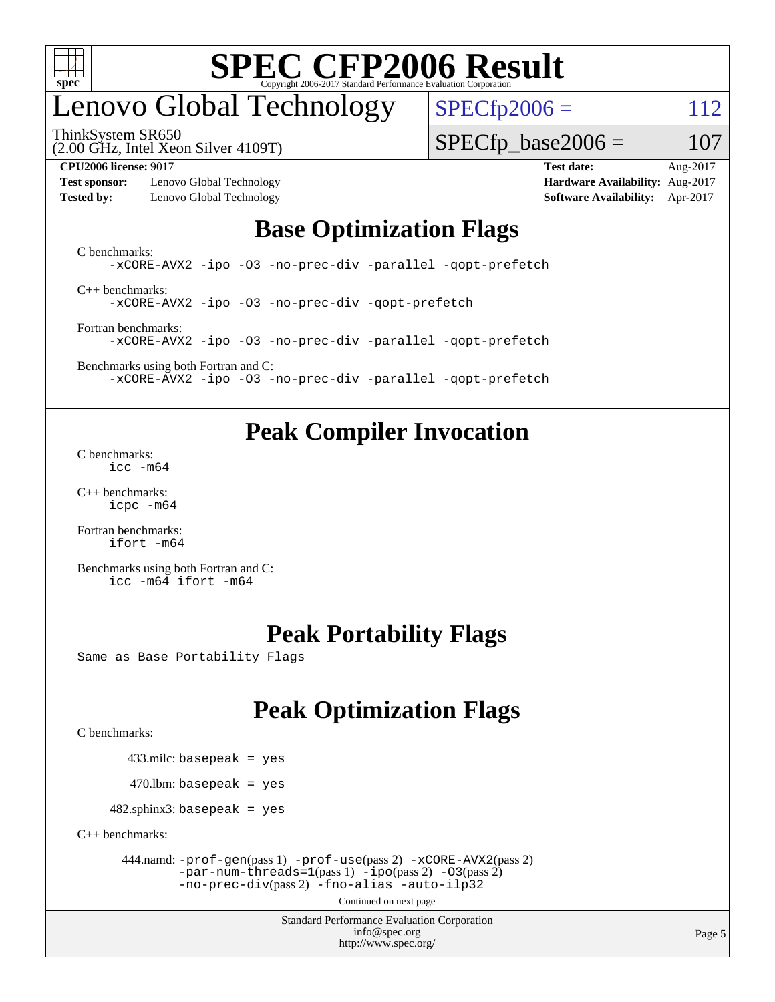

### enovo Global Technology

ThinkSystem SR650

 $SPECTp2006 = 112$ 

 $SPECTp\_base2006 = 107$ 

(2.00 GHz, Intel Xeon Silver 4109T)

**[Test sponsor:](http://www.spec.org/auto/cpu2006/Docs/result-fields.html#Testsponsor)** Lenovo Global Technology **[Hardware Availability:](http://www.spec.org/auto/cpu2006/Docs/result-fields.html#HardwareAvailability)** Aug-2017 **[Tested by:](http://www.spec.org/auto/cpu2006/Docs/result-fields.html#Testedby)** Lenovo Global Technology **[Software Availability:](http://www.spec.org/auto/cpu2006/Docs/result-fields.html#SoftwareAvailability)** Apr-2017

**[CPU2006 license:](http://www.spec.org/auto/cpu2006/Docs/result-fields.html#CPU2006license)** 9017 **[Test date:](http://www.spec.org/auto/cpu2006/Docs/result-fields.html#Testdate)** Aug-2017

#### **[Base Optimization Flags](http://www.spec.org/auto/cpu2006/Docs/result-fields.html#BaseOptimizationFlags)**

[C benchmarks](http://www.spec.org/auto/cpu2006/Docs/result-fields.html#Cbenchmarks): [-xCORE-AVX2](http://www.spec.org/cpu2006/results/res2017q4/cpu2006-20170918-49703.flags.html#user_CCbase_f-xCORE-AVX2) [-ipo](http://www.spec.org/cpu2006/results/res2017q4/cpu2006-20170918-49703.flags.html#user_CCbase_f-ipo) [-O3](http://www.spec.org/cpu2006/results/res2017q4/cpu2006-20170918-49703.flags.html#user_CCbase_f-O3) [-no-prec-div](http://www.spec.org/cpu2006/results/res2017q4/cpu2006-20170918-49703.flags.html#user_CCbase_f-no-prec-div) [-parallel](http://www.spec.org/cpu2006/results/res2017q4/cpu2006-20170918-49703.flags.html#user_CCbase_f-parallel) [-qopt-prefetch](http://www.spec.org/cpu2006/results/res2017q4/cpu2006-20170918-49703.flags.html#user_CCbase_f-qopt-prefetch) [C++ benchmarks:](http://www.spec.org/auto/cpu2006/Docs/result-fields.html#CXXbenchmarks) [-xCORE-AVX2](http://www.spec.org/cpu2006/results/res2017q4/cpu2006-20170918-49703.flags.html#user_CXXbase_f-xCORE-AVX2) [-ipo](http://www.spec.org/cpu2006/results/res2017q4/cpu2006-20170918-49703.flags.html#user_CXXbase_f-ipo) [-O3](http://www.spec.org/cpu2006/results/res2017q4/cpu2006-20170918-49703.flags.html#user_CXXbase_f-O3) [-no-prec-div](http://www.spec.org/cpu2006/results/res2017q4/cpu2006-20170918-49703.flags.html#user_CXXbase_f-no-prec-div) [-qopt-prefetch](http://www.spec.org/cpu2006/results/res2017q4/cpu2006-20170918-49703.flags.html#user_CXXbase_f-qopt-prefetch)

[Fortran benchmarks](http://www.spec.org/auto/cpu2006/Docs/result-fields.html#Fortranbenchmarks): [-xCORE-AVX2](http://www.spec.org/cpu2006/results/res2017q4/cpu2006-20170918-49703.flags.html#user_FCbase_f-xCORE-AVX2) [-ipo](http://www.spec.org/cpu2006/results/res2017q4/cpu2006-20170918-49703.flags.html#user_FCbase_f-ipo) [-O3](http://www.spec.org/cpu2006/results/res2017q4/cpu2006-20170918-49703.flags.html#user_FCbase_f-O3) [-no-prec-div](http://www.spec.org/cpu2006/results/res2017q4/cpu2006-20170918-49703.flags.html#user_FCbase_f-no-prec-div) [-parallel](http://www.spec.org/cpu2006/results/res2017q4/cpu2006-20170918-49703.flags.html#user_FCbase_f-parallel) [-qopt-prefetch](http://www.spec.org/cpu2006/results/res2017q4/cpu2006-20170918-49703.flags.html#user_FCbase_f-qopt-prefetch)

[Benchmarks using both Fortran and C](http://www.spec.org/auto/cpu2006/Docs/result-fields.html#BenchmarksusingbothFortranandC): [-xCORE-AVX2](http://www.spec.org/cpu2006/results/res2017q4/cpu2006-20170918-49703.flags.html#user_CC_FCbase_f-xCORE-AVX2) [-ipo](http://www.spec.org/cpu2006/results/res2017q4/cpu2006-20170918-49703.flags.html#user_CC_FCbase_f-ipo) [-O3](http://www.spec.org/cpu2006/results/res2017q4/cpu2006-20170918-49703.flags.html#user_CC_FCbase_f-O3) [-no-prec-div](http://www.spec.org/cpu2006/results/res2017q4/cpu2006-20170918-49703.flags.html#user_CC_FCbase_f-no-prec-div) [-parallel](http://www.spec.org/cpu2006/results/res2017q4/cpu2006-20170918-49703.flags.html#user_CC_FCbase_f-parallel) [-qopt-prefetch](http://www.spec.org/cpu2006/results/res2017q4/cpu2006-20170918-49703.flags.html#user_CC_FCbase_f-qopt-prefetch)

#### **[Peak Compiler Invocation](http://www.spec.org/auto/cpu2006/Docs/result-fields.html#PeakCompilerInvocation)**

[C benchmarks](http://www.spec.org/auto/cpu2006/Docs/result-fields.html#Cbenchmarks): [icc -m64](http://www.spec.org/cpu2006/results/res2017q4/cpu2006-20170918-49703.flags.html#user_CCpeak_intel_icc_64bit_bda6cc9af1fdbb0edc3795bac97ada53)

[C++ benchmarks:](http://www.spec.org/auto/cpu2006/Docs/result-fields.html#CXXbenchmarks) [icpc -m64](http://www.spec.org/cpu2006/results/res2017q4/cpu2006-20170918-49703.flags.html#user_CXXpeak_intel_icpc_64bit_fc66a5337ce925472a5c54ad6a0de310)

[Fortran benchmarks](http://www.spec.org/auto/cpu2006/Docs/result-fields.html#Fortranbenchmarks): [ifort -m64](http://www.spec.org/cpu2006/results/res2017q4/cpu2006-20170918-49703.flags.html#user_FCpeak_intel_ifort_64bit_ee9d0fb25645d0210d97eb0527dcc06e)

[Benchmarks using both Fortran and C](http://www.spec.org/auto/cpu2006/Docs/result-fields.html#BenchmarksusingbothFortranandC): [icc -m64](http://www.spec.org/cpu2006/results/res2017q4/cpu2006-20170918-49703.flags.html#user_CC_FCpeak_intel_icc_64bit_bda6cc9af1fdbb0edc3795bac97ada53) [ifort -m64](http://www.spec.org/cpu2006/results/res2017q4/cpu2006-20170918-49703.flags.html#user_CC_FCpeak_intel_ifort_64bit_ee9d0fb25645d0210d97eb0527dcc06e)

#### **[Peak Portability Flags](http://www.spec.org/auto/cpu2006/Docs/result-fields.html#PeakPortabilityFlags)**

Same as Base Portability Flags

#### **[Peak Optimization Flags](http://www.spec.org/auto/cpu2006/Docs/result-fields.html#PeakOptimizationFlags)**

[C benchmarks](http://www.spec.org/auto/cpu2006/Docs/result-fields.html#Cbenchmarks):

433.milc: basepeak = yes

 $470.$ lbm: basepeak = yes

 $482$ .sphinx3: basepeak = yes

[C++ benchmarks:](http://www.spec.org/auto/cpu2006/Docs/result-fields.html#CXXbenchmarks)

 444.namd: [-prof-gen](http://www.spec.org/cpu2006/results/res2017q4/cpu2006-20170918-49703.flags.html#user_peakPASS1_CXXFLAGSPASS1_LDFLAGS444_namd_prof_gen_e43856698f6ca7b7e442dfd80e94a8fc)(pass 1) [-prof-use](http://www.spec.org/cpu2006/results/res2017q4/cpu2006-20170918-49703.flags.html#user_peakPASS2_CXXFLAGSPASS2_LDFLAGS444_namd_prof_use_bccf7792157ff70d64e32fe3e1250b55)(pass 2) [-xCORE-AVX2](http://www.spec.org/cpu2006/results/res2017q4/cpu2006-20170918-49703.flags.html#user_peakPASS2_CXXFLAGSPASS2_LDFLAGS444_namd_f-xCORE-AVX2)(pass 2)  $-par-num-threads=1(pass 1) -ipo(pass 2) -O3(pass 2)$  $-par-num-threads=1(pass 1) -ipo(pass 2) -O3(pass 2)$  $-par-num-threads=1(pass 1) -ipo(pass 2) -O3(pass 2)$  $-par-num-threads=1(pass 1) -ipo(pass 2) -O3(pass 2)$  $-par-num-threads=1(pass 1) -ipo(pass 2) -O3(pass 2)$  $-par-num-threads=1(pass 1) -ipo(pass 2) -O3(pass 2)$ [-no-prec-div](http://www.spec.org/cpu2006/results/res2017q4/cpu2006-20170918-49703.flags.html#user_peakPASS2_CXXFLAGSPASS2_LDFLAGS444_namd_f-no-prec-div)(pass 2) [-fno-alias](http://www.spec.org/cpu2006/results/res2017q4/cpu2006-20170918-49703.flags.html#user_peakCXXOPTIMIZEOPTIMIZE444_namd_f-no-alias_694e77f6c5a51e658e82ccff53a9e63a) [-auto-ilp32](http://www.spec.org/cpu2006/results/res2017q4/cpu2006-20170918-49703.flags.html#user_peakCXXOPTIMIZE444_namd_f-auto-ilp32)

Continued on next page

Standard Performance Evaluation Corporation [info@spec.org](mailto:info@spec.org) <http://www.spec.org/>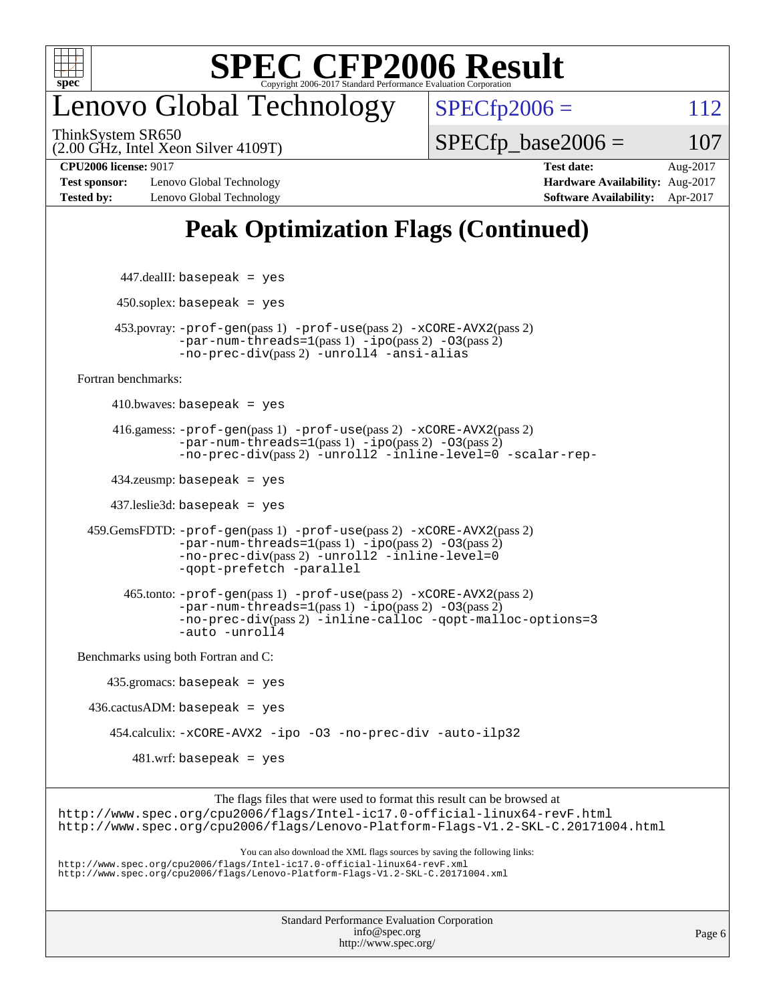

#### enovo Global Technology

ThinkSystem SR650

 $SPECTp2006 = 112$ 

(2.00 GHz, Intel Xeon Silver 4109T)

 $SPECTp\_base2006 = 107$ 

**[Test sponsor:](http://www.spec.org/auto/cpu2006/Docs/result-fields.html#Testsponsor)** Lenovo Global Technology **[Hardware Availability:](http://www.spec.org/auto/cpu2006/Docs/result-fields.html#HardwareAvailability)** Aug-2017 **[Tested by:](http://www.spec.org/auto/cpu2006/Docs/result-fields.html#Testedby)** Lenovo Global Technology **[Software Availability:](http://www.spec.org/auto/cpu2006/Docs/result-fields.html#SoftwareAvailability)** Apr-2017

**[CPU2006 license:](http://www.spec.org/auto/cpu2006/Docs/result-fields.html#CPU2006license)** 9017 **[Test date:](http://www.spec.org/auto/cpu2006/Docs/result-fields.html#Testdate)** Aug-2017

#### **[Peak Optimization Flags \(Continued\)](http://www.spec.org/auto/cpu2006/Docs/result-fields.html#PeakOptimizationFlags)**

```
 447.dealII: basepeak = yes
         450.soplex: basepeak = yes
         453.povray: -prof-gen(pass 1) -prof-use(pass 2) -xCORE-AVX2(pass 2)
                   -par-num-threads=1-ipo-O3(pass 2)-no-prec-div(pass 2) -unroll4 -ansi-alias
   Fortran benchmarks: 
        410.bwaves: basepeak = yes 416.gamess: -prof-gen(pass 1) -prof-use(pass 2) -xCORE-AVX2(pass 2)
                   -par-num-threads=1(pass 1) -ipo(pass 2) -O3(pass 2)
                  -no-prec-div(pass 2) -unroll2 -inline-level=0 -scalar-rep-
         434.zeusmp: basepeak = yes
         437.leslie3d: basepeak = yes
     459.GemsFDTD: -prof-gen(pass 1) -prof-use(pass 2) -xCORE-AVX2(pass 2)
                   -par-num-threads=1(pass 1) -ipo(pass 2) -O3(pass 2)
                   -no-prec-div(pass 2) -unroll2 -inline-level=0
                   -qopt-prefetch -parallel
           465.tonto: -prof-gen(pass 1) -prof-use(pass 2) -xCORE-AVX2(pass 2)
                   -par-num-threads=1(pass 1) -ipo(pass 2) -O3(pass 2)
                   -no-prec-div(pass 2) -inline-calloc -qopt-malloc-options=3
                   -auto -unroll4
   Benchmarks using both Fortran and C: 
        435.gromacs: basepeak = yes
    436.cactusADM: basepeak = yes
         454.calculix: -xCORE-AVX2 -ipo -O3 -no-prec-div -auto-ilp32
            481.wrf: basepeak = yes
                        The flags files that were used to format this result can be browsed at
http://www.spec.org/cpu2006/flags/Intel-ic17.0-official-linux64-revF.html
http://www.spec.org/cpu2006/flags/Lenovo-Platform-Flags-V1.2-SKL-C.20171004.html
                            You can also download the XML flags sources by saving the following links:
http://www.spec.org/cpu2006/flags/Intel-ic17.0-official-linux64-revF.xml
http://www.spec.org/cpu2006/flags/Lenovo-Platform-Flags-V1.2-SKL-C.20171004.xml
```

| <b>Standard Performance Evaluation Corporation</b> |
|----------------------------------------------------|
| info@spec.org                                      |
| http://www.spec.org/                               |